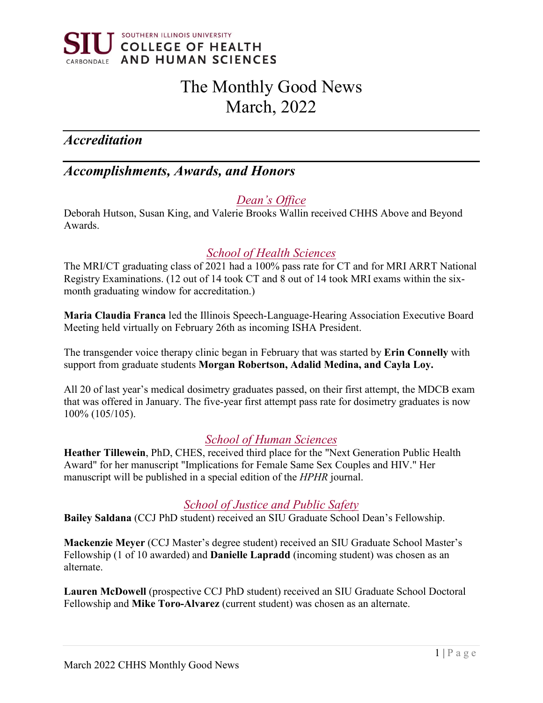

# The Monthly Good News March, 2022

# *Accreditation*

# *Accomplishments, Awards, and Honors*

### *Dean's Office*

Deborah Hutson, Susan King, and Valerie Brooks Wallin received CHHS Above and Beyond Awards.

### *School of Health Sciences*

The MRI/CT graduating class of 2021 had a 100% pass rate for CT and for MRI ARRT National Registry Examinations. (12 out of 14 took CT and 8 out of 14 took MRI exams within the sixmonth graduating window for accreditation.)

**Maria Claudia Franca** led the Illinois Speech-Language-Hearing Association Executive Board Meeting held virtually on February 26th as incoming ISHA President.

The transgender voice therapy clinic began in February that was started by **Erin Connelly** with support from graduate students **Morgan Robertson, Adalid Medina, and Cayla Loy.**

All 20 of last year's medical dosimetry graduates passed, on their first attempt, the MDCB exam that was offered in January. The five-year first attempt pass rate for dosimetry graduates is now 100% (105/105).

### *School of Human Sciences*

**Heather Tillewein**, PhD, CHES, received third place for the "Next Generation Public Health Award" for her manuscript "Implications for Female Same Sex Couples and HIV." Her manuscript will be published in a special edition of the *HPHR* journal.

### *School of Justice and Public Safety*

**Bailey Saldana** (CCJ PhD student) received an SIU Graduate School Dean's Fellowship.

**Mackenzie Meyer** (CCJ Master's degree student) received an SIU Graduate School Master's Fellowship (1 of 10 awarded) and **Danielle Lapradd** (incoming student) was chosen as an alternate.

**Lauren McDowell** (prospective CCJ PhD student) received an SIU Graduate School Doctoral Fellowship and **Mike Toro-Alvarez** (current student) was chosen as an alternate.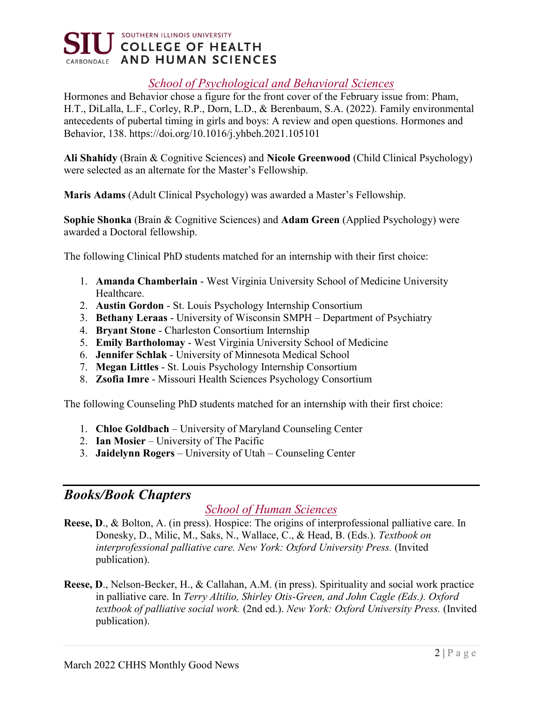

### *School of Psychological and Behavioral Sciences*

Hormones and Behavior chose a figure for the front cover of the February issue from: Pham, H.T., DiLalla, L.F., Corley, R.P., Dorn, L.D., & Berenbaum, S.A. (2022). Family environmental antecedents of pubertal timing in girls and boys: A review and open questions. Hormones and Behavior, 138. https://doi.org/10.1016/j.yhbeh.2021.105101

**Ali Shahidy** (Brain & Cognitive Sciences) and **Nicole Greenwood** (Child Clinical Psychology) were selected as an alternate for the Master's Fellowship.

**Maris Adams** (Adult Clinical Psychology) was awarded a Master's Fellowship.

**Sophie Shonka** (Brain & Cognitive Sciences) and **Adam Green** (Applied Psychology) were awarded a Doctoral fellowship.

The following Clinical PhD students matched for an internship with their first choice:

- 1. **Amanda Chamberlain** West Virginia University School of Medicine University Healthcare.
- 2. **Austin Gordon** St. Louis Psychology Internship Consortium
- 3. **Bethany Leraas** University of Wisconsin SMPH Department of Psychiatry
- 4. **Bryant Stone** Charleston Consortium Internship
- 5. **Emily Bartholomay** West Virginia University School of Medicine
- 6. **Jennifer Schlak** University of Minnesota Medical School
- 7. **Megan Littles** St. Louis Psychology Internship Consortium
- 8. **Zsofia Imre** Missouri Health Sciences Psychology Consortium

The following Counseling PhD students matched for an internship with their first choice:

- 1. **Chloe Goldbach** University of Maryland Counseling Center
- 2. **Ian Mosier** University of The Pacific
- 3. **Jaidelynn Rogers** University of Utah Counseling Center

### *Books/Book Chapters*

### *School of Human Sciences*

- **Reese, D**., & Bolton, A. (in press). Hospice: The origins of interprofessional palliative care. In Donesky, D., Milic, M., Saks, N., Wallace, C., & Head, B. (Eds.). *Textbook on interprofessional palliative care. New York: Oxford University Press.* (Invited publication).
- **Reese, D**., Nelson-Becker, H., & Callahan, A.M. (in press). Spirituality and social work practice in palliative care. In *Terry Altilio, Shirley Otis-Green, and John Cagle (Eds.). Oxford textbook of palliative social work.* (2nd ed.). *New York: Oxford University Press.* (Invited publication).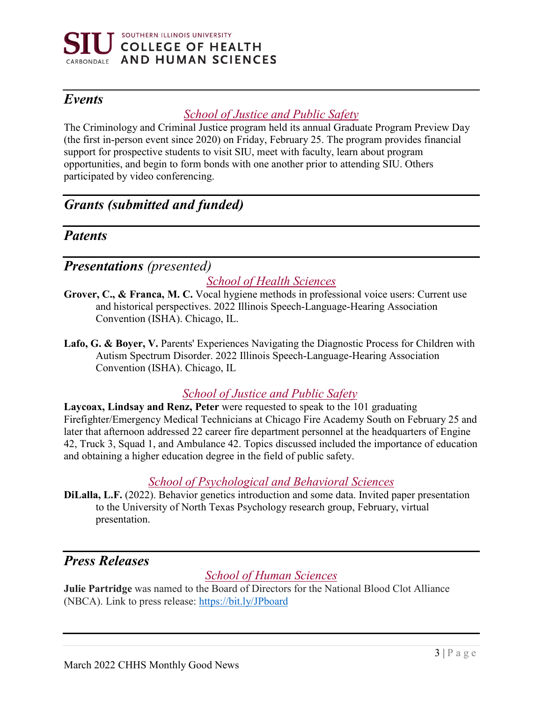

# *Events*

### *School of Justice and Public Safety*

The Criminology and Criminal Justice program held its annual Graduate Program Preview Day (the first in-person event since 2020) on Friday, February 25. The program provides financial support for prospective students to visit SIU, meet with faculty, learn about program opportunities, and begin to form bonds with one another prior to attending SIU. Others participated by video conferencing.

# *Grants (submitted and funded)*

### *Patents*

# *Presentations (presented)*

# *School of Health Sciences*

- **Grover, C., & Franca, M. C.** Vocal hygiene methods in professional voice users: Current use and historical perspectives. 2022 Illinois Speech-Language-Hearing Association Convention (ISHA). Chicago, IL.
- **Lafo, G. & Boyer, V.** Parents' Experiences Navigating the Diagnostic Process for Children with Autism Spectrum Disorder. 2022 Illinois Speech-Language-Hearing Association Convention (ISHA). Chicago, IL

### *School of Justice and Public Safety*

**Laycoax, Lindsay and Renz, Peter** were requested to speak to the 101 graduating Firefighter/Emergency Medical Technicians at Chicago Fire Academy South on February 25 and later that afternoon addressed 22 career fire department personnel at the headquarters of Engine 42, Truck 3, Squad 1, and Ambulance 42. Topics discussed included the importance of education and obtaining a higher education degree in the field of public safety.

### *School of Psychological and Behavioral Sciences*

**DiLalla, L.F.** (2022). Behavior genetics introduction and some data. Invited paper presentation to the University of North Texas Psychology research group, February, virtual presentation.

# *Press Releases*

### *School of Human Sciences*

**Julie Partridge** was named to the Board of Directors for the National Blood Clot Alliance (NBCA). Link to press release: [https://bit.ly/JPboard](https://nam11.safelinks.protection.outlook.com/?url=https%3A%2F%2Fbit.ly%2FJPboard%3Ffbclid%3DIwAR3ePJ1lWe2HIxke-itednRUqPTV7v1b081rCbt86i6L67byRTHFMUzEdtU&data=04%7C01%7Colivia.hood%40siu.edu%7C36fb5c478e5d4f84ccc308d9fd45b8a2%7Cd57a98e7744d43f9bc9108de1ff3710d%7C0%7C0%7C637819298165619645%7CUnknown%7CTWFpbGZsb3d8eyJWIjoiMC4wLjAwMDAiLCJQIjoiV2luMzIiLCJBTiI6Ik1haWwiLCJXVCI6Mn0%3D%7C3000&sdata=7JnCI9RgbOxBbZtLlaoESBEvouGe53PYs8DgnpNjJoU%3D&reserved=0)